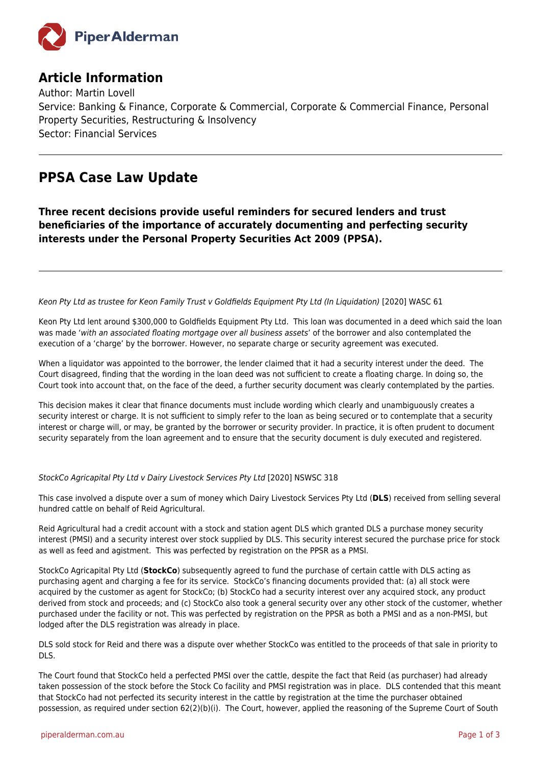

## **Article Information**

Author: Martin Lovell Service: Banking & Finance, Corporate & Commercial, Corporate & Commercial Finance, Personal Property Securities, Restructuring & Insolvency Sector: Financial Services

# **PPSA Case Law Update**

**Three recent decisions provide useful reminders for secured lenders and trust beneficiaries of the importance of accurately documenting and perfecting security interests under the Personal Property Securities Act 2009 (PPSA).**

Keon Pty Ltd as trustee for Keon Family Trust v Goldfields Equipment Pty Ltd (In Liquidation) [2020] WASC 61

Keon Pty Ltd lent around \$300,000 to Goldfields Equipment Pty Ltd. This loan was documented in a deed which said the loan was made 'with an associated floating mortgage over all business assets' of the borrower and also contemplated the execution of a 'charge' by the borrower. However, no separate charge or security agreement was executed.

When a liquidator was appointed to the borrower, the lender claimed that it had a security interest under the deed. The Court disagreed, finding that the wording in the loan deed was not sufficient to create a floating charge. In doing so, the Court took into account that, on the face of the deed, a further security document was clearly contemplated by the parties.

This decision makes it clear that finance documents must include wording which clearly and unambiguously creates a security interest or charge. It is not sufficient to simply refer to the loan as being secured or to contemplate that a security interest or charge will, or may, be granted by the borrower or security provider. In practice, it is often prudent to document security separately from the loan agreement and to ensure that the security document is duly executed and registered.

### StockCo Agricapital Pty Ltd v Dairy Livestock Services Pty Ltd [2020] NSWSC 318

This case involved a dispute over a sum of money which Dairy Livestock Services Pty Ltd (**DLS**) received from selling several hundred cattle on behalf of Reid Agricultural.

Reid Agricultural had a credit account with a stock and station agent DLS which granted DLS a purchase money security interest (PMSI) and a security interest over stock supplied by DLS. This security interest secured the purchase price for stock as well as feed and agistment. This was perfected by registration on the PPSR as a PMSI.

StockCo Agricapital Pty Ltd (**StockCo**) subsequently agreed to fund the purchase of certain cattle with DLS acting as purchasing agent and charging a fee for its service. StockCo's financing documents provided that: (a) all stock were acquired by the customer as agent for StockCo; (b) StockCo had a security interest over any acquired stock, any product derived from stock and proceeds; and (c) StockCo also took a general security over any other stock of the customer, whether purchased under the facility or not. This was perfected by registration on the PPSR as both a PMSI and as a non-PMSI, but lodged after the DLS registration was already in place.

DLS sold stock for Reid and there was a dispute over whether StockCo was entitled to the proceeds of that sale in priority to DLS.

The Court found that StockCo held a perfected PMSI over the cattle, despite the fact that Reid (as purchaser) had already taken possession of the stock before the Stock Co facility and PMSI registration was in place. DLS contended that this meant that StockCo had not perfected its security interest in the cattle by registration at the time the purchaser obtained possession, as required under section 62(2)(b)(i). The Court, however, applied the reasoning of the Supreme Court of South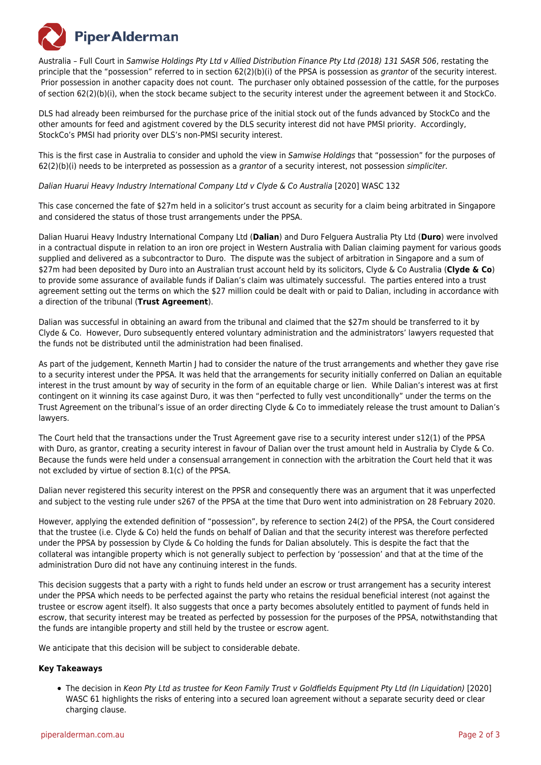

Australia – Full Court in Samwise Holdings Pty Ltd v Allied Distribution Finance Pty Ltd (2018) 131 SASR 506, restating the principle that the "possession" referred to in section 62(2)(b)(i) of the PPSA is possession as grantor of the security interest. Prior possession in another capacity does not count. The purchaser only obtained possession of the cattle, for the purposes of section 62(2)(b)(i), when the stock became subject to the security interest under the agreement between it and StockCo.

DLS had already been reimbursed for the purchase price of the initial stock out of the funds advanced by StockCo and the other amounts for feed and agistment covered by the DLS security interest did not have PMSI priority. Accordingly, StockCo's PMSI had priority over DLS's non-PMSI security interest.

This is the first case in Australia to consider and uphold the view in Samwise Holdings that "possession" for the purposes of  $62(2)(b)(i)$  needs to be interpreted as possession as a grantor of a security interest, not possession simpliciter.

### Dalian Huarui Heavy Industry International Company Ltd v Clyde & Co Australia [2020] WASC 132

This case concerned the fate of \$27m held in a solicitor's trust account as security for a claim being arbitrated in Singapore and considered the status of those trust arrangements under the PPSA.

Dalian Huarui Heavy Industry International Company Ltd (**Dalian**) and Duro Felguera Australia Pty Ltd (**Duro**) were involved in a contractual dispute in relation to an iron ore project in Western Australia with Dalian claiming payment for various goods supplied and delivered as a subcontractor to Duro. The dispute was the subject of arbitration in Singapore and a sum of \$27m had been deposited by Duro into an Australian trust account held by its solicitors, Clyde & Co Australia (**Clyde & Co**) to provide some assurance of available funds if Dalian's claim was ultimately successful. The parties entered into a trust agreement setting out the terms on which the \$27 million could be dealt with or paid to Dalian, including in accordance with a direction of the tribunal (**Trust Agreement**).

Dalian was successful in obtaining an award from the tribunal and claimed that the \$27m should be transferred to it by Clyde & Co. However, Duro subsequently entered voluntary administration and the administrators' lawyers requested that the funds not be distributed until the administration had been finalised.

As part of the judgement, Kenneth Martin I had to consider the nature of the trust arrangements and whether they gave rise to a security interest under the PPSA. It was held that the arrangements for security initially conferred on Dalian an equitable interest in the trust amount by way of security in the form of an equitable charge or lien. While Dalian's interest was at first contingent on it winning its case against Duro, it was then "perfected to fully vest unconditionally" under the terms on the Trust Agreement on the tribunal's issue of an order directing Clyde & Co to immediately release the trust amount to Dalian's lawyers.

The Court held that the transactions under the Trust Agreement gave rise to a security interest under s12(1) of the PPSA with Duro, as grantor, creating a security interest in favour of Dalian over the trust amount held in Australia by Clyde & Co. Because the funds were held under a consensual arrangement in connection with the arbitration the Court held that it was not excluded by virtue of section 8.1(c) of the PPSA.

Dalian never registered this security interest on the PPSR and consequently there was an argument that it was unperfected and subject to the vesting rule under s267 of the PPSA at the time that Duro went into administration on 28 February 2020.

However, applying the extended definition of "possession", by reference to section 24(2) of the PPSA, the Court considered that the trustee (i.e. Clyde & Co) held the funds on behalf of Dalian and that the security interest was therefore perfected under the PPSA by possession by Clyde & Co holding the funds for Dalian absolutely. This is despite the fact that the collateral was intangible property which is not generally subject to perfection by 'possession' and that at the time of the administration Duro did not have any continuing interest in the funds.

This decision suggests that a party with a right to funds held under an escrow or trust arrangement has a security interest under the PPSA which needs to be perfected against the party who retains the residual beneficial interest (not against the trustee or escrow agent itself). It also suggests that once a party becomes absolutely entitled to payment of funds held in escrow, that security interest may be treated as perfected by possession for the purposes of the PPSA, notwithstanding that the funds are intangible property and still held by the trustee or escrow agent.

We anticipate that this decision will be subject to considerable debate.

### **Key Takeaways**

The decision in Keon Pty Ltd as trustee for Keon Family Trust v Goldfields Equipment Pty Ltd (In Liquidation) [2020] WASC 61 highlights the risks of entering into a secured loan agreement without a separate security deed or clear charging clause.